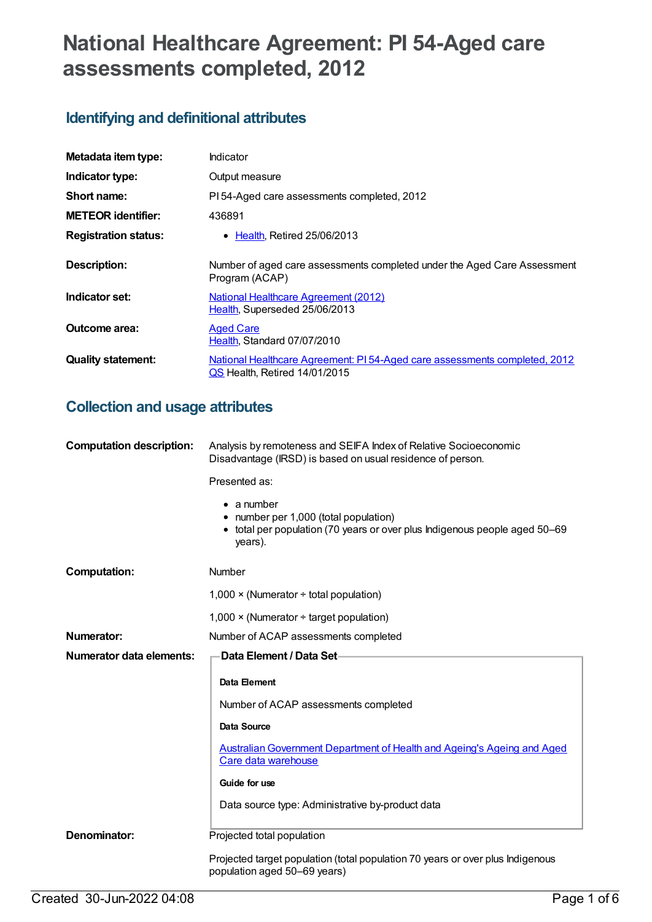# **National Healthcare Agreement: PI 54-Aged care assessments completed, 2012**

# **Identifying and definitional attributes**

| Metadata item type:         | Indicator                                                                                                   |
|-----------------------------|-------------------------------------------------------------------------------------------------------------|
| Indicator type:             | Output measure                                                                                              |
| Short name:                 | PI 54-Aged care assessments completed, 2012                                                                 |
| <b>METEOR identifier:</b>   | 436891                                                                                                      |
| <b>Registration status:</b> | • Health, Retired 25/06/2013                                                                                |
| Description:                | Number of aged care assessments completed under the Aged Care Assessment<br>Program (ACAP)                  |
| Indicator set:              | <b>National Healthcare Agreement (2012)</b><br>Health, Superseded 25/06/2013                                |
| Outcome area:               | <b>Aged Care</b><br>Health, Standard 07/07/2010                                                             |
| <b>Quality statement:</b>   | National Healthcare Agreement: PI 54-Aged care assessments completed, 2012<br>QS Health, Retired 14/01/2015 |

# **Collection and usage attributes**

| <b>Computation description:</b> | Analysis by remoteness and SEIFA Index of Relative Socioeconomic<br>Disadvantage (IRSD) is based on usual residence of person.                       |  |
|---------------------------------|------------------------------------------------------------------------------------------------------------------------------------------------------|--|
|                                 | Presented as:                                                                                                                                        |  |
|                                 | $\bullet$ a number<br>• number per 1,000 (total population)<br>• total per population (70 years or over plus Indigenous people aged 50-69<br>years). |  |
| <b>Computation:</b>             | Number                                                                                                                                               |  |
|                                 | $1,000 \times (Numerator \div total population)$                                                                                                     |  |
|                                 | $1,000 \times (N$ umerator ÷ target population)                                                                                                      |  |
| <b>Numerator:</b>               | Number of ACAP assessments completed                                                                                                                 |  |
| <b>Numerator data elements:</b> | Data Element / Data Set-                                                                                                                             |  |
|                                 | Data Element                                                                                                                                         |  |
|                                 | Number of ACAP assessments completed                                                                                                                 |  |
|                                 | <b>Data Source</b>                                                                                                                                   |  |
|                                 | <b>Australian Government Department of Health and Ageing's Ageing and Aged</b><br>Care data warehouse                                                |  |
|                                 | Guide for use                                                                                                                                        |  |
|                                 | Data source type: Administrative by-product data                                                                                                     |  |
| Denominator:                    | Projected total population                                                                                                                           |  |
|                                 | Projected target population (total population 70 years or over plus Indigenous<br>population aged 50-69 years)                                       |  |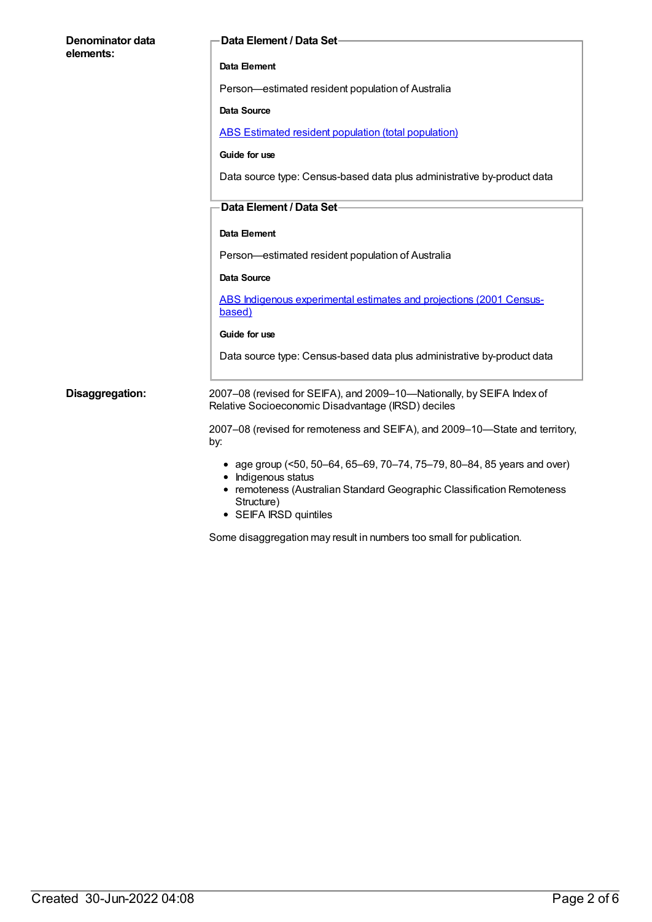| Denominator data<br>elements: | Data Element / Data Set-                                                                                                                                                               |
|-------------------------------|----------------------------------------------------------------------------------------------------------------------------------------------------------------------------------------|
|                               | Data Element                                                                                                                                                                           |
|                               | Person-estimated resident population of Australia                                                                                                                                      |
|                               | <b>Data Source</b>                                                                                                                                                                     |
|                               | ABS Estimated resident population (total population)                                                                                                                                   |
|                               | Guide for use                                                                                                                                                                          |
|                               | Data source type: Census-based data plus administrative by-product data                                                                                                                |
|                               | Data Element / Data Set-                                                                                                                                                               |
|                               | Data Element                                                                                                                                                                           |
|                               | Person-estimated resident population of Australia                                                                                                                                      |
|                               | Data Source                                                                                                                                                                            |
|                               | ABS Indigenous experimental estimates and projections (2001 Census-<br>based)                                                                                                          |
|                               | Guide for use                                                                                                                                                                          |
|                               | Data source type: Census-based data plus administrative by-product data                                                                                                                |
| Disaggregation:               | 2007-08 (revised for SEIFA), and 2009-10-Nationally, by SEIFA Index of<br>Relative Socioeconomic Disadvantage (IRSD) deciles                                                           |
|                               | 2007-08 (revised for remoteness and SEIFA), and 2009-10-State and territory,<br>by:                                                                                                    |
|                               | • age group (<50, 50–64, 65–69, 70–74, 75–79, 80–84, 85 years and over)<br>• Indigenous status<br>• remoteness (Australian Standard Geographic Classification Remoteness<br>Structure) |

SEIFA IRSD quintiles

Some disaggregation may result in numbers too small for publication.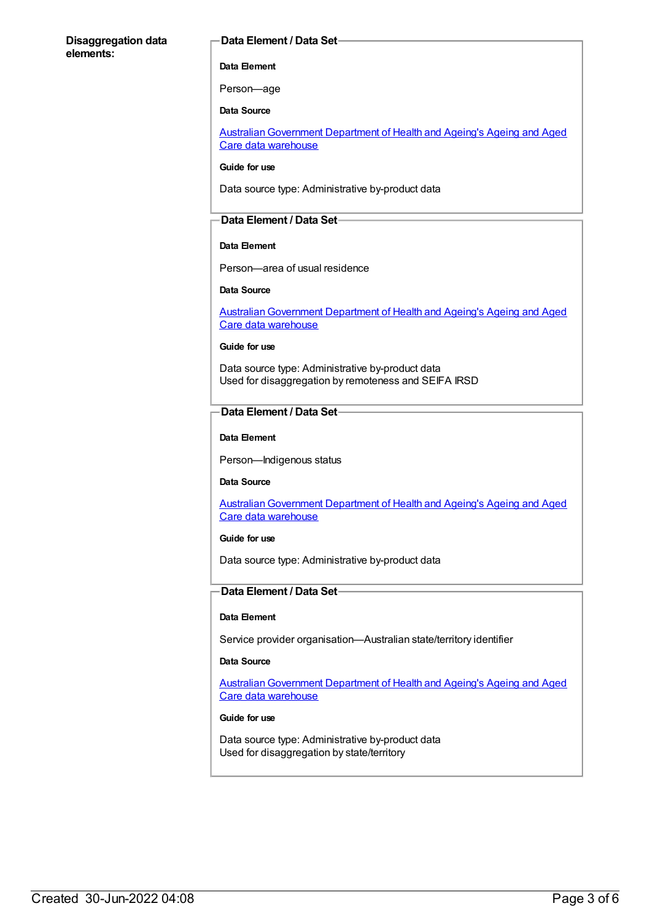#### **Disaggregation data elements:**

#### **Data Element / Data Set**

#### **Data Element**

Person—age

#### **Data Source**

Australian Government Department of Health and Ageing's Ageing and Aged Care data warehouse

#### **Guide for use**

Data source type: Administrative by-product data

#### **Data Element / Data Set**

#### **Data Element**

Person—area of usual residence

#### **Data Source**

Australian Government Department of Health and Ageing's Ageing and Aged Care data warehouse

#### **Guide for use**

Data source type: Administrative by-product data Used for disaggregation by remoteness and SEIFA IRSD

### **Data Element / Data Set**

#### **Data Element**

Person—Indigenous status

#### **Data Source**

[AustralianGovernment](https://meteor.aihw.gov.au/content/394091) Department of Health and Ageing's Ageing and Aged Care data warehouse

#### **Guide for use**

Data source type: Administrative by-product data

### **Data Element / Data Set**

#### **Data Element**

Service provider organisation—Australian state/territory identifier

#### **Data Source**

[AustralianGovernment](https://meteor.aihw.gov.au/content/394091) Department of Health and Ageing's Ageing and Aged Care data warehouse

#### **Guide for use**

Data source type: Administrative by-product data Used for disaggregation by state/territory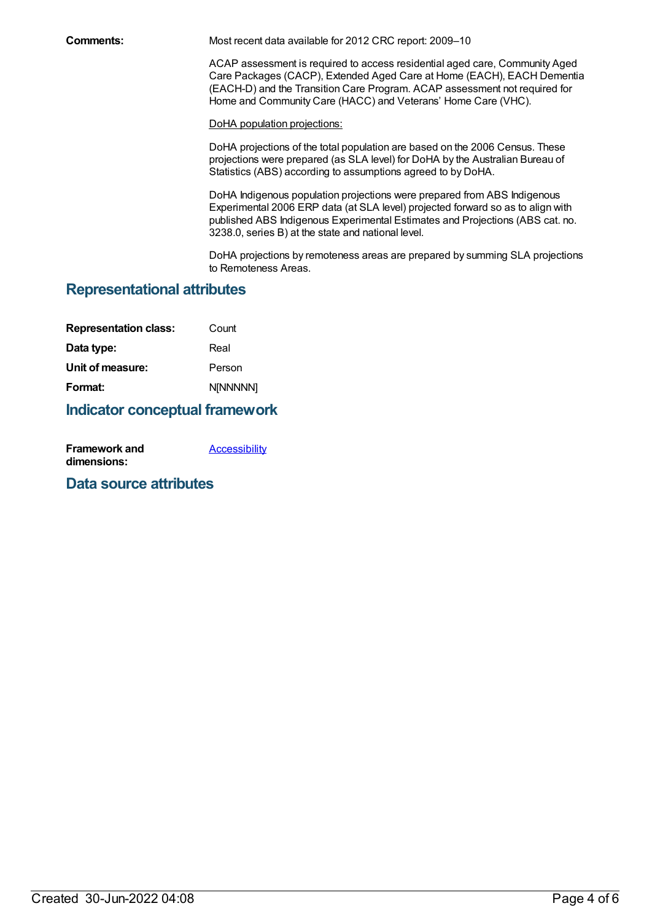**Comments:** Most recent data available for 2012 CRC report: 2009–10

ACAP assessment is required to access residential aged care, Community Aged Care Packages (CACP), Extended Aged Care at Home (EACH), EACH Dementia (EACH-D) and the Transition Care Program. ACAP assessment not required for Home and Community Care (HACC) and Veterans' Home Care (VHC).

DoHA population projections:

DoHA projections of the total population are based on the 2006 Census. These projections were prepared (as SLA level) for DoHA by the Australian Bureau of Statistics (ABS) according to assumptions agreed to by DoHA.

DoHA Indigenous population projections were prepared from ABS Indigenous Experimental 2006 ERP data (at SLA level) projected forward so as to align with published ABS Indigenous Experimental Estimates and Projections (ABS cat. no. 3238.0, series B) at the state and national level.

DoHA projections by remoteness areas are prepared by summing SLA projections to Remoteness Areas.

### **Representational attributes**

| Count    |
|----------|
| Real     |
| Person   |
| N[NNNNN] |
|          |

### **Indicator conceptual framework**

| <b>Framework and</b> | <b>Accessibility</b> |
|----------------------|----------------------|
| dimensions:          |                      |

### **Data source attributes**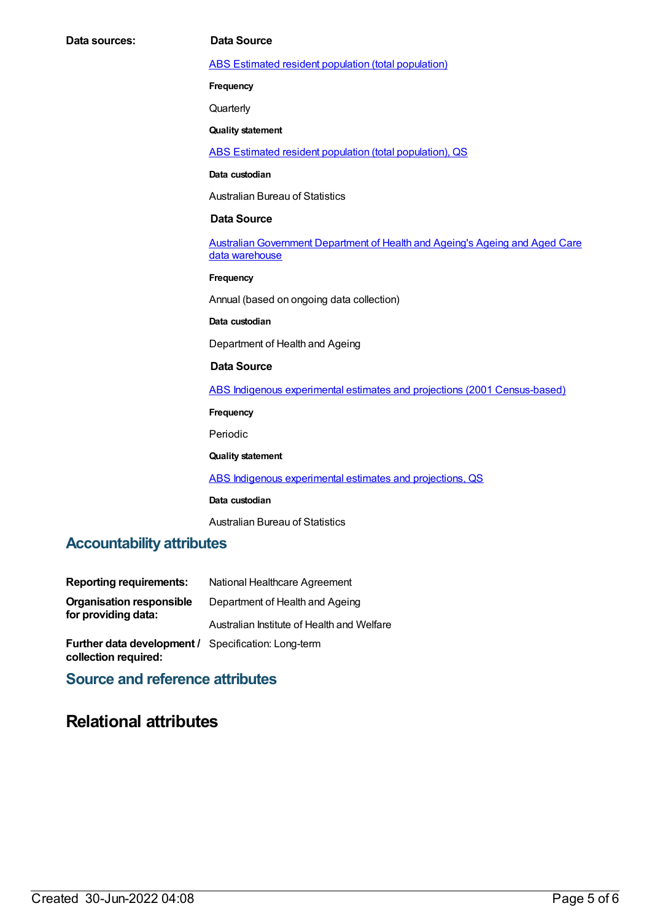#### ABS Estimated resident population (total [population\)](https://meteor.aihw.gov.au/content/393625)

**Frequency**

**Quarterly** 

**Quality statement**

ABS Estimated resident population (total [population\),](https://meteor.aihw.gov.au/content/449216) QS

**Data custodian**

Australian Bureau of Statistics

#### **Data Source**

Australian Government Department of Health and Ageing's Ageing and Aged Care data warehouse

**Frequency**

Annual (based on ongoing data collection)

**Data custodian**

Department of Health and Ageing

### **Data Source**

ABS Indigenous experimental estimates and projections (2001 [Census-based\)](https://meteor.aihw.gov.au/content/394092)

**Frequency**

Periodic

#### **Quality statement**

ABS Indigenous [experimental](https://meteor.aihw.gov.au/content/449223) estimates and projections, QS

**Data custodian**

Australian Bureau of Statistics

### **Accountability attributes**

| <b>Reporting requirements:</b>                                                     | National Healthcare Agreement              |
|------------------------------------------------------------------------------------|--------------------------------------------|
| <b>Organisation responsible</b><br>for providing data:                             | Department of Health and Ageing            |
|                                                                                    | Australian Institute of Health and Welfare |
| <b>Further data development / Specification: Long-term</b><br>collection required: |                                            |

### **Source and reference attributes**

## **Relational attributes**